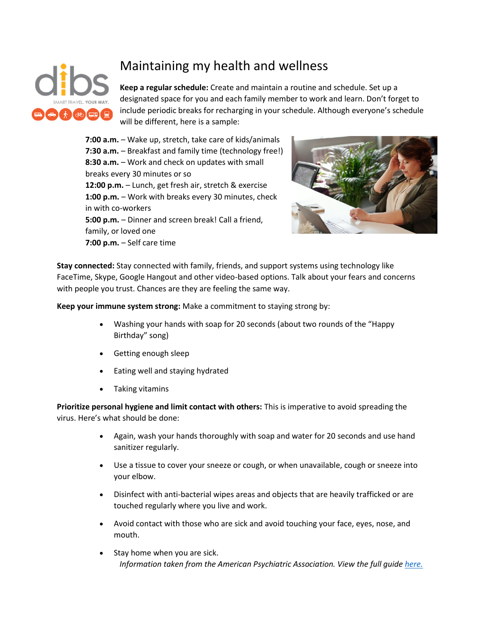

## Maintaining my health and wellness

**Keep a regular schedule:** Create and maintain a routine and schedule. Set up a designated space for you and each family member to work and learn. Don't forget to include periodic breaks for recharging in your schedule. Although everyone's schedule will be different, here is a sample:

**7:00 a.m.** – Wake up, stretch, take care of kids/animals **7:30 a.m.** – Breakfast and family time (technology free!) **8:30 a.m.** – Work and check on updates with small breaks every 30 minutes or so **12:00 p.m.** – Lunch, get fresh air, stretch & exercise **1:00 p.m.** – Work with breaks every 30 minutes, check in with co-workers **5:00 p.m.** – Dinner and screen break! Call a friend, family, or loved one **7:00 p.m.** – Self care time



**Stay connected:** Stay connected with family, friends, and support systems using technology like FaceTime, Skype, Google Hangout and other video-based options. Talk about your fears and concerns with people you trust. Chances are they are feeling the same way.

**Keep your immune system strong:** Make a commitment to staying strong by:

- Washing your hands with soap for 20 seconds (about two rounds of the "Happy Birthday" song)
- Getting enough sleep
- Eating well and staying hydrated
- Taking vitamins

**Prioritize personal hygiene and limit contact with others:** This is imperative to avoid spreading the virus. Here's what should be done:

- Again, wash your hands thoroughly with soap and water for 20 seconds and use hand sanitizer regularly.
- Use a tissue to cover your sneeze or cough, or when unavailable, cough or sneeze into your elbow.
- Disinfect with anti-bacterial wipes areas and objects that are heavily trafficked or are touched regularly where you live and work.
- Avoid contact with those who are sick and avoid touching your face, eyes, nose, and mouth.
- *Information taken from the American Psychiatric Association. View the full guide [here.](http://workplacementalhealth.org/getmedia/fd8a9b98-b491-4666-8f27-2bf59b00e475/Working-Remotely-During-COVID-19-CWMH-Guide)*  Stay home when you are sick.